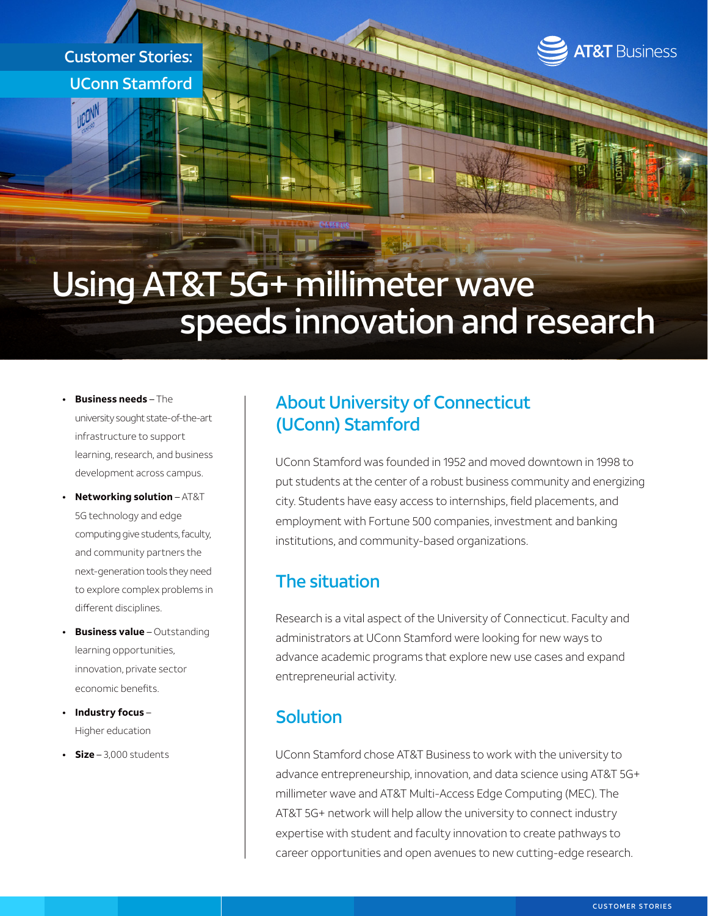Customer Stories: UConn Stamford

**JOON** 



# Using AT&T 5G+ millimeter wave speeds innovation and research

- **• Business needs** The university sought state-of-the-art infrastructure to support learning, research, and business development across campus.
- **• Networking solution** AT&T 5G technology and edge computing give students, faculty, and community partners the next-generation tools they need to explore complex problems in different disciplines.
- **• Business value** Outstanding learning opportunities, innovation, private sector economic benefits.
- **• Industry focus** Higher education
- **• Size**  3,000 students

### About University of Connecticut (UConn) Stamford

UConn Stamford was founded in 1952 and moved downtown in 1998 to put students at the center of a robust business community and energizing city. Students have easy access to internships, field placements, and employment with Fortune 500 companies, investment and banking institutions, and community-based organizations.

# The situation

Research is a vital aspect of the University of Connecticut. Faculty and administrators at UConn Stamford were looking for new ways to advance academic programs that explore new use cases and expand entrepreneurial activity.

# Solution

UConn Stamford chose AT&T Business to work with the university to advance entrepreneurship, innovation, and data science using AT&T 5G+ millimeter wave and AT&T Multi-Access Edge Computing (MEC). The AT&T 5G+ network will help allow the university to connect industry expertise with student and faculty innovation to create pathways to career opportunities and open avenues to new cutting-edge research.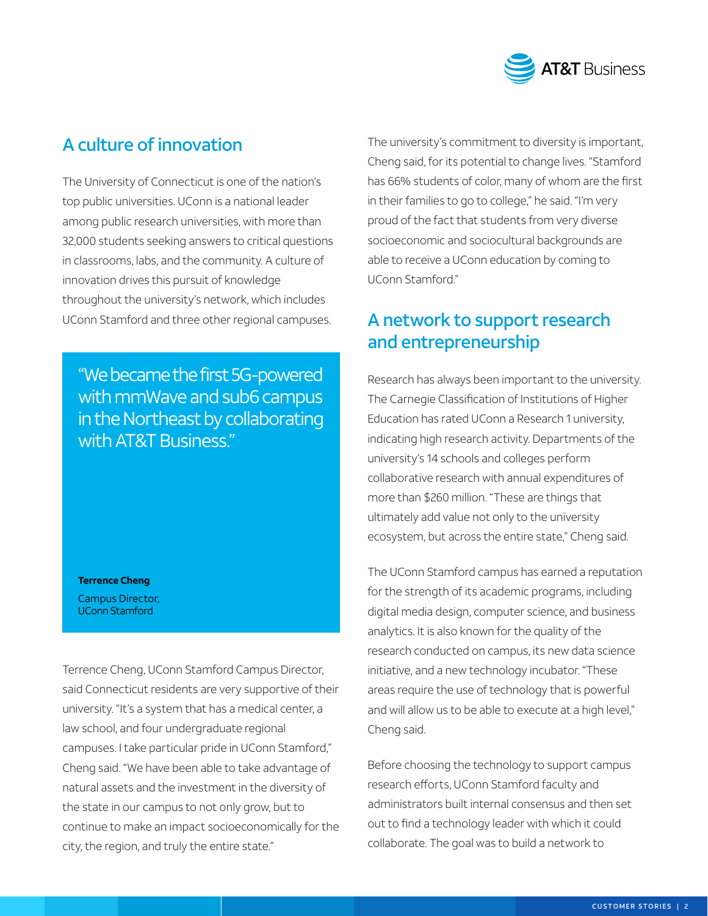

# A culture of innovation

The University of Connecticut is one of the nation's top public universities. UConn is a national leader among public research universities, with more than 32,000 students seeking answers to critical questions in classrooms, labs, and the community. A culture of innovation drives this pursuit of knowledge throughout the university's network, which includes UConn Stamford and three other regional campuses.

"We became the first 5G-powered with mmWave and sub6 campus in the Northeast by collaborating with AT&T Business."

**Terrence Cheng** Campus Director, UConn Stamford

Terrence Cheng, UConn Stamford Campus Director, said Connecticut residents are very supportive of their university. "It's a system that has a medical center, a law school, and four undergraduate regional campuses. I take particular pride in UConn Stamford," Cheng said. "We have been able to take advantage of natural assets and the investment in the diversity of the state in our campus to not only grow, but to continue to make an impact socioeconomically for the city, the region, and truly the entire state."

The university's commitment to diversity is important, Cheng said, for its potential to change lives. "Stamford has 66% students of color, many of whom are the first in their families to go to college," he said. "I'm very proud of the fact that students from very diverse socioeconomic and sociocultural backgrounds are able to receive a UConn education by coming to UConn Stamford."

# A network to support research and entrepreneurship

Research has always been important to the university. The Carnegie Classification of Institutions of Higher Education has rated UConn a Research 1 university, indicating high research activity. Departments of the university's 14 schools and colleges perform collaborative research with annual expenditures of more than \$260 million. "These are things that ultimately add value not only to the university ecosystem, but across the entire state," Cheng said.

The UConn Stamford campus has earned a reputation for the strength of its academic programs, including digital media design, computer science, and business analytics. It is also known for the quality of the research conducted on campus, its new data science initiative, and a new technology incubator. "These areas require the use of technology that is powerful and will allow us to be able to execute at a high level," Cheng said.

Before choosing the technology to support campus research efforts, UConn Stamford faculty and administrators built internal consensus and then set out to find a technology leader with which it could collaborate. The goal was to build a network to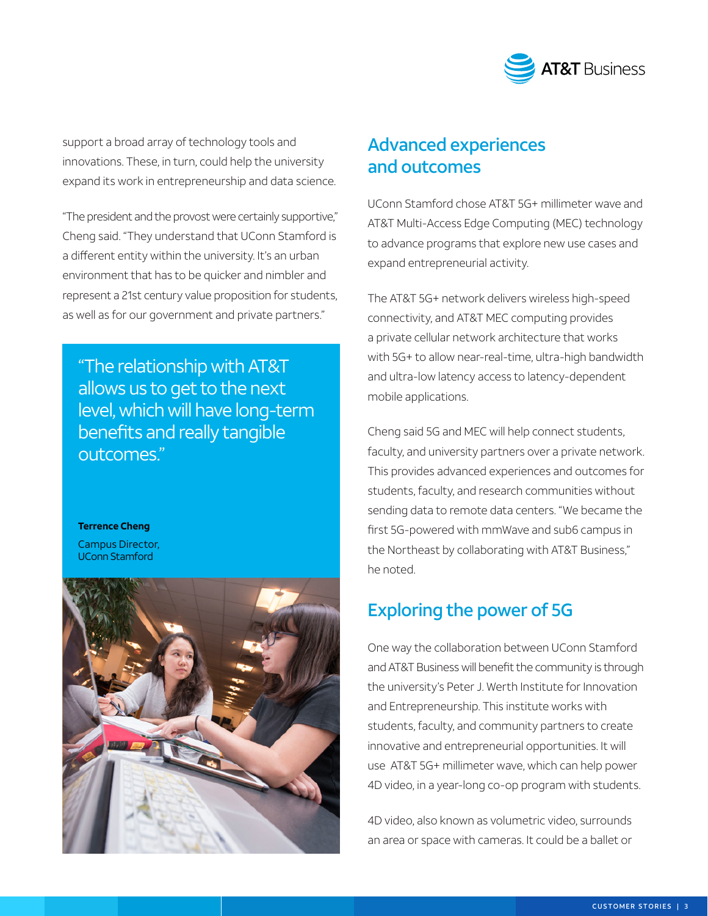

support a broad array of technology tools and innovations. These, in turn, could help the university expand its work in entrepreneurship and data science.

"The president and the provost were certainly supportive," Cheng said. "They understand that UConn Stamford is a different entity within the university. It's an urban environment that has to be quicker and nimbler and represent a 21st century value proposition for students, as well as for our government and private partners."

"The relationship with AT&T allows us to get to the next level, which will have long-term benefits and really tangible outcomes."

#### **Terrence Cheng**

Campus Director, UConn Stamford



### Advanced experiences and outcomes

UConn Stamford chose AT&T 5G+ millimeter wave and AT&T Multi-Access Edge Computing (MEC) technology to advance programs that explore new use cases and expand entrepreneurial activity.

The AT&T 5G+ network delivers wireless high-speed connectivity, and AT&T MEC computing provides a private cellular network architecture that works with 5G+ to allow near-real-time, ultra-high bandwidth and ultra-low latency access to latency-dependent mobile applications.

Cheng said 5G and MEC will help connect students, faculty, and university partners over a private network. This provides advanced experiences and outcomes for students, faculty, and research communities without sending data to remote data centers. "We became the first 5G-powered with mmWave and sub6 campus in the Northeast by collaborating with AT&T Business," he noted.

### Exploring the power of 5G

One way the collaboration between UConn Stamford and AT&T Business will benefit the community is through the university's Peter J. Werth Institute for Innovation and Entrepreneurship. This institute works with students, faculty, and community partners to create innovative and entrepreneurial opportunities. It will use AT&T 5G+ millimeter wave, which can help power 4D video, in a year-long co-op program with students.

4D video, also known as volumetric video, surrounds an area or space with cameras. It could be a ballet or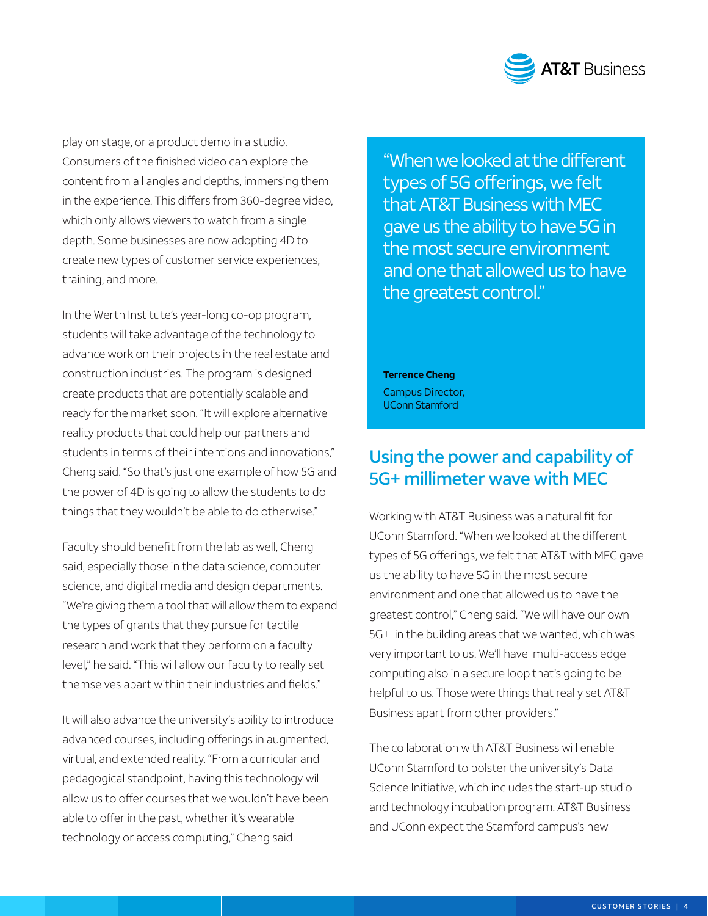

play on stage, or a product demo in a studio. Consumers of the finished video can explore the content from all angles and depths, immersing them in the experience. This differs from 360-degree video, which only allows viewers to watch from a single depth. Some businesses are now adopting 4D to create new types of customer service experiences, training, and more.

In the Werth Institute's year-long co-op program, students will take advantage of the technology to advance work on their projects in the real estate and construction industries. The program is designed create products that are potentially scalable and ready for the market soon. "It will explore alternative reality products that could help our partners and students in terms of their intentions and innovations," Cheng said. "So that's just one example of how 5G and the power of 4D is going to allow the students to do things that they wouldn't be able to do otherwise."

Faculty should benefit from the lab as well, Cheng said, especially those in the data science, computer science, and digital media and design departments. "We're giving them a tool that will allow them to expand the types of grants that they pursue for tactile research and work that they perform on a faculty level," he said. "This will allow our faculty to really set themselves apart within their industries and fields."

It will also advance the university's ability to introduce advanced courses, including offerings in augmented, virtual, and extended reality. "From a curricular and pedagogical standpoint, having this technology will allow us to offer courses that we wouldn't have been able to offer in the past, whether it's wearable technology or access computing," Cheng said.

"When we looked at the different types of 5G offerings, we felt that AT&T Business with MEC gave us the ability to have 5G in the most secure environment and one that allowed us to have the greatest control."

**Terrence Cheng** Campus Director, UConn Stamford

### Using the power and capability of 5G+ millimeter wave with MEC

Working with AT&T Business was a natural fit for UConn Stamford. "When we looked at the different types of 5G offerings, we felt that AT&T with MEC gave us the ability to have 5G in the most secure environment and one that allowed us to have the greatest control," Cheng said. "We will have our own 5G+ in the building areas that we wanted, which was very important to us. We'll have multi-access edge computing also in a secure loop that's going to be helpful to us. Those were things that really set AT&T Business apart from other providers."

The collaboration with AT&T Business will enable UConn Stamford to bolster the university's Data Science Initiative, which includes the start-up studio and technology incubation program. AT&T Business and UConn expect the Stamford campus's new